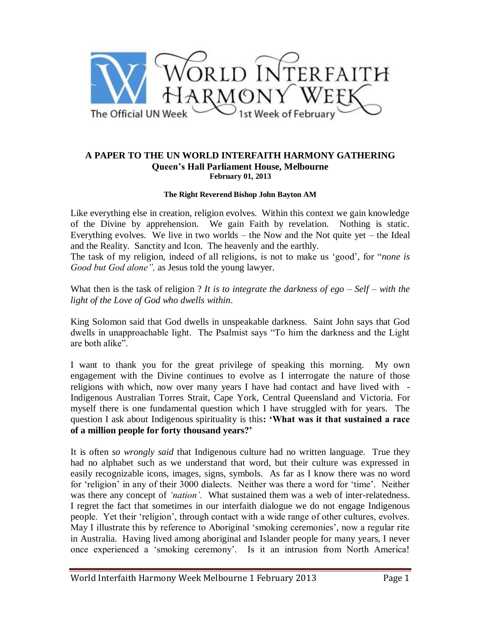

## **A PAPER TO THE UN WORLD INTERFAITH HARMONY GATHERING Queen's Hall Parliament House, Melbourne February 01, 2013**

## **The Right Reverend Bishop John Bayton AM**

Like everything else in creation, religion evolves. Within this context we gain knowledge of the Divine by apprehension. We gain Faith by revelation. Nothing is static. Everything evolves. We live in two worlds – the Now and the Not quite yet – the Ideal and the Reality. Sanctity and Icon. The heavenly and the earthly.

The task of my religion, indeed of all religions, is not to make us "good", for "*none is Good but God alone",* as Jesus told the young lawyer.

What then is the task of religion ? *It is to integrate the darkness of ego – Self – with the light of the Love of God who dwells within*.

King Solomon said that God dwells in unspeakable darkness. Saint John says that God dwells in unapproachable light. The Psalmist says "To him the darkness and the Light are both alike".

I want to thank you for the great privilege of speaking this morning. My own engagement with the Divine continues to evolve as I interrogate the nature of those religions with which, now over many years I have had contact and have lived with - Indigenous Australian Torres Strait, Cape York, Central Queensland and Victoria. For myself there is one fundamental question which I have struggled with for years. The question I ask about Indigenous spirituality is this**: 'What was it that sustained a race of a million people for forty thousand years?'**

It is often *so wrongly said* that Indigenous culture had no written language. True they had no alphabet such as we understand that word, but their culture was expressed in easily recognizable icons, images, signs, symbols. As far as I know there was no word for 'religion' in any of their 3000 dialects. Neither was there a word for 'time'. Neither was there any concept of *"nation".* What sustained them was a web of inter-relatedness. I regret the fact that sometimes in our interfaith dialogue we do not engage Indigenous people. Yet their "religion", through contact with a wide range of other cultures, evolves. May I illustrate this by reference to Aboriginal 'smoking ceremonies', now a regular rite in Australia. Having lived among aboriginal and Islander people for many years, I never once experienced a 'smoking ceremony'. Is it an intrusion from North America!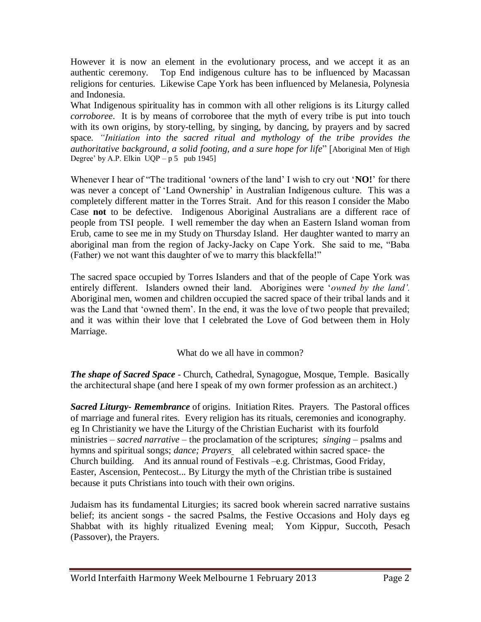However it is now an element in the evolutionary process, and we accept it as an authentic ceremony. Top End indigenous culture has to be influenced by Macassan religions for centuries. Likewise Cape York has been influenced by Melanesia, Polynesia and Indonesia.

What Indigenous spirituality has in common with all other religions is its Liturgy called *corroboree*. It is by means of corroboree that the myth of every tribe is put into touch with its own origins, by story-telling, by singing, by dancing, by prayers and by sacred space*. "Initiation into the sacred ritual and mythology of the tribe provides the authoritative background, a solid footing, and a sure hope for life*" [Aboriginal Men of High Degree' by A.P. Elkin  $UQP - p 5$  pub 1945]

Whenever I hear of "The traditional "owners of the land" I wish to cry out "**NO!**" for there was never a concept of 'Land Ownership' in Australian Indigenous culture. This was a completely different matter in the Torres Strait. And for this reason I consider the Mabo Case **not** to be defective. Indigenous Aboriginal Australians are a different race of people from TSI people. I well remember the day when an Eastern Island woman from Erub, came to see me in my Study on Thursday Island. Her daughter wanted to marry an aboriginal man from the region of Jacky-Jacky on Cape York. She said to me, "Baba (Father) we not want this daughter of we to marry this blackfella!"

The sacred space occupied by Torres Islanders and that of the people of Cape York was entirely different. Islanders owned their land. Aborigines were "*owned by the land".* Aboriginal men, women and children occupied the sacred space of their tribal lands and it was the Land that "owned them". In the end, it was the love of two people that prevailed; and it was within their love that I celebrated the Love of God between them in Holy Marriage.

What do we all have in common?

*The shape of Sacred Space* - Church, Cathedral, Synagogue, Mosque, Temple. Basically the architectural shape (and here I speak of my own former profession as an architect.)

*Sacred Liturgy- Remembrance* of origins. Initiation Rites. Prayers. The Pastoral offices of marriage and funeral rites. Every religion has its rituals, ceremonies and iconography. eg In Christianity we have the Liturgy of the Christian Eucharist with its fourfold ministries – *sacred narrative* – the proclamation of the scriptures; *singing* – psalms and hymns and spiritual songs; *dance; Prayers* all celebrated within sacred space- the Church building. And its annual round of Festivals –e.g. Christmas, Good Friday, Easter, Ascension, Pentecost... By Liturgy the myth of the Christian tribe is sustained because it puts Christians into touch with their own origins.

Judaism has its fundamental Liturgies; its sacred book wherein sacred narrative sustains belief; its ancient songs - the sacred Psalms, the Festive Occasions and Holy days eg Shabbat with its highly ritualized Evening meal; Yom Kippur, Succoth, Pesach (Passover), the Prayers.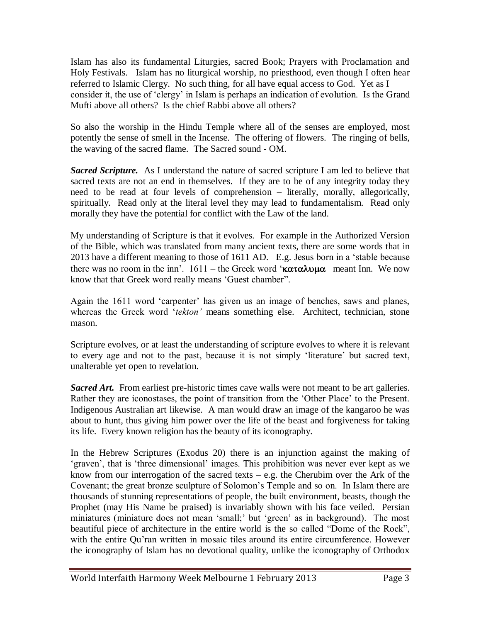Islam has also its fundamental Liturgies, sacred Book; Prayers with Proclamation and Holy Festivals. Islam has no liturgical worship, no priesthood, even though I often hear referred to Islamic Clergy. No such thing, for all have equal access to God. Yet as I consider it, the use of "clergy" in Islam is perhaps an indication of evolution. Is the Grand Mufti above all others? Is the chief Rabbi above all others?

So also the worship in the Hindu Temple where all of the senses are employed, most potently the sense of smell in the Incense. The offering of flowers. The ringing of bells, the waving of the sacred flame. The Sacred sound - OM.

*Sacred Scripture.* As I understand the nature of sacred scripture I am led to believe that sacred texts are not an end in themselves. If they are to be of any integrity today they need to be read at four levels of comprehension – literally, morally, allegorically, spiritually. Read only at the literal level they may lead to fundamentalism. Read only morally they have the potential for conflict with the Law of the land.

My understanding of Scripture is that it evolves. For example in the Authorized Version of the Bible, which was translated from many ancient texts, there are some words that in 2013 have a different meaning to those of 1611 AD. E.g. Jesus born in a "stable because there was no room in the inn'. 1611 – the Greek word ' $\kappa \alpha \tau \alpha \lambda \nu \mu \alpha$  meant Inn. We now know that that Greek word really means "Guest chamber".

Again the 1611 word 'carpenter' has given us an image of benches, saws and planes, whereas the Greek word "*tekton"* means something else. Architect, technician, stone mason.

Scripture evolves, or at least the understanding of scripture evolves to where it is relevant to every age and not to the past, because it is not simply "literature" but sacred text, unalterable yet open to revelation.

**Sacred Art.** From earliest pre-historic times cave walls were not meant to be art galleries. Rather they are iconostases, the point of transition from the "Other Place" to the Present. Indigenous Australian art likewise. A man would draw an image of the kangaroo he was about to hunt, thus giving him power over the life of the beast and forgiveness for taking its life. Every known religion has the beauty of its iconography.

In the Hebrew Scriptures (Exodus 20) there is an injunction against the making of "graven", that is "three dimensional" images. This prohibition was never ever kept as we know from our interrogation of the sacred texts – e.g. the Cherubim over the Ark of the Covenant; the great bronze sculpture of Solomon"s Temple and so on. In Islam there are thousands of stunning representations of people, the built environment, beasts, though the Prophet (may His Name be praised) is invariably shown with his face veiled. Persian miniatures (miniature does not mean "small;" but "green" as in background). The most beautiful piece of architecture in the entire world is the so called "Dome of the Rock", with the entire Qu'ran written in mosaic tiles around its entire circumference. However the iconography of Islam has no devotional quality, unlike the iconography of Orthodox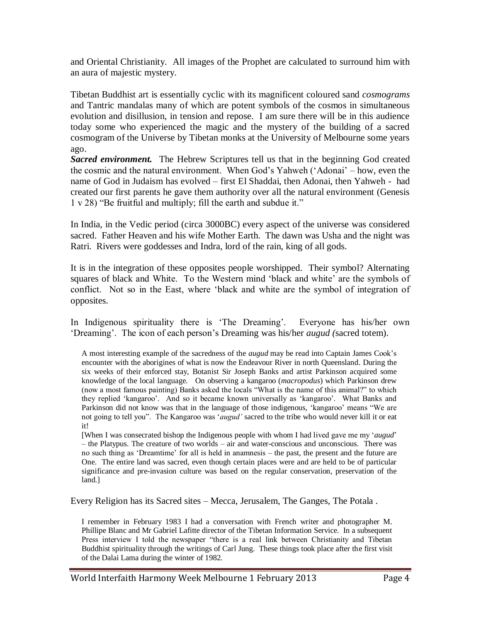and Oriental Christianity. All images of the Prophet are calculated to surround him with an aura of majestic mystery.

Tibetan Buddhist art is essentially cyclic with its magnificent coloured sand *cosmograms* and Tantric mandalas many of which are potent symbols of the cosmos in simultaneous evolution and disillusion, in tension and repose. I am sure there will be in this audience today some who experienced the magic and the mystery of the building of a sacred cosmogram of the Universe by Tibetan monks at the University of Melbourne some years ago.

*Sacred environment.* The Hebrew Scriptures tell us that in the beginning God created the cosmic and the natural environment. When God"s Yahweh ("Adonai" – how, even the name of God in Judaism has evolved – first El Shaddai, then Adonai, then Yahweh - had created our first parents he gave them authority over all the natural environment (Genesis 1 v 28) "Be fruitful and multiply; fill the earth and subdue it."

In India, in the Vedic period (circa 3000BC) every aspect of the universe was considered sacred. Father Heaven and his wife Mother Earth. The dawn was Usha and the night was Ratri. Rivers were goddesses and Indra, lord of the rain, king of all gods.

It is in the integration of these opposites people worshipped. Their symbol? Alternating squares of black and White. To the Western mind 'black and white' are the symbols of conflict. Not so in the East, where "black and white are the symbol of integration of opposites.

In Indigenous spirituality there is 'The Dreaming'. Everyone has his/her own "Dreaming". The icon of each person"s Dreaming was his/her *augud (*sacred totem).

A most interesting example of the sacredness of the *augud* may be read into Captain James Cook"s encounter with the aborigines of what is now the Endeavour River in north Queensland. During the six weeks of their enforced stay, Botanist Sir Joseph Banks and artist Parkinson acquired some knowledge of the local language. On observing a kangaroo (*macropodus*) which Parkinson drew (now a most famous painting) Banks asked the locals "What is the name of this animal?" to which they replied "kangaroo". And so it became known universally as "kangaroo". What Banks and Parkinson did not know was that in the language of those indigenous, 'kangaroo' means "We are not going to tell you". The Kangaroo was "*augud"* sacred to the tribe who would never kill it or eat it!

[When I was consecrated bishop the Indigenous people with whom I had lived gave me my "*augud*" – the Platypus. The creature of two worlds – air and water-conscious and unconscious. There was no such thing as "Dreamtime" for all is held in anamnesis – the past, the present and the future are One. The entire land was sacred, even though certain places were and are held to be of particular significance and pre-invasion culture was based on the regular conservation, preservation of the land.]

Every Religion has its Sacred sites – Mecca, Jerusalem, The Ganges, The Potala .

I remember in February 1983 I had a conversation with French writer and photographer M. Phillipe Blanc and Mr Gabriel Lafitte director of the Tibetan Information Service. In a subsequent Press interview I told the newspaper "there is a real link between Christianity and Tibetan Buddhist spirituality through the writings of Carl Jung. These things took place after the first visit of the Dalai Lama during the winter of 1982.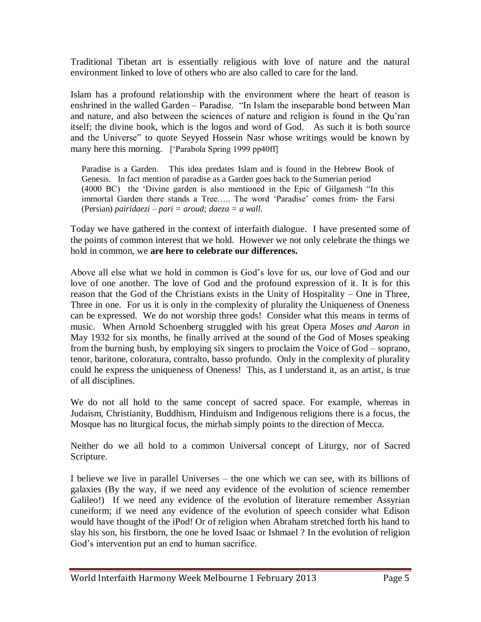Traditional Tibetan art is essentially religious with love of nature and the natural environment linked to love of others who are also called to care for the land.

Islam has a profound relationship with the environment where the heart of reason is enshrined in the walled Garden – Paradise. "In Islam the inseparable bond between Man and nature, and also between the sciences of nature and religion is found in the Qu"ran itself; the divine book, which is the logos and word of God. As such it is both source and the Universe" to quote Seyyed Hossein Nasr whose writings would be known by many here this morning. ['Parabola Spring 1999 pp40ff]

Paradise is a Garden. This idea predates Islam and is found in the Hebrew Book of Genesis. In fact mention of paradise as a Garden goes back to the Sumerian period (4000 BC) the "Divine garden is also mentioned in the Epic of Gilgamesh "In this immortal Garden there stands a Tree..... The word 'Paradise' comes from- the Farsi (Persian) *pairidaezi – pari = aroud; daeza = a wall.*

Today we have gathered in the context of interfaith dialogue. I have presented some of the points of common interest that we hold. However we not only celebrate the things we hold in common, we **are here to celebrate our differences.**

Above all else what we hold in common is God"s love for us, our love of God and our love of one another. The love of God and the profound expression of it. It is for this reason that the God of the Christians exists in the Unity of Hospitality – One in Three, Three in one. For us it is only in the complexity of plurality the Uniqueness of Oneness can be expressed. We do not worship three gods! Consider what this means in terms of music. When Arnold Schoenberg struggled with his great Opera *Moses and Aaron* in May 1932 for six months, he finally arrived at the sound of the God of Moses speaking from the burning bush, by employing six singers to proclaim the Voice of God – soprano, tenor, baritone, coloratura, contralto, basso profundo. Only in the complexity of plurality could he express the uniqueness of Oneness! This, as I understand it, as an artist, is true of all disciplines.

We do not all hold to the same concept of sacred space. For example, whereas in Judaism, Christianity, Buddhism, Hinduism and Indigenous religions there is a focus, the Mosque has no liturgical focus, the mirhab simply points to the direction of Mecca.

Neither do we all hold to a common Universal concept of Liturgy, nor of Sacred Scripture.

I believe we live in parallel Universes – the one which we can see, with its billions of galaxies (By the way, if we need any evidence of the evolution of science remember Galileo!) If we need any evidence of the evolution of literature remember Assyrian cuneiform; if we need any evidence of the evolution of speech consider what Edison would have thought of the iPod! Or of religion when Abraham stretched forth his hand to slay his son, his firstborn, the one he loved Isaac or Ishmael ? In the evolution of religion God"s intervention put an end to human sacrifice.